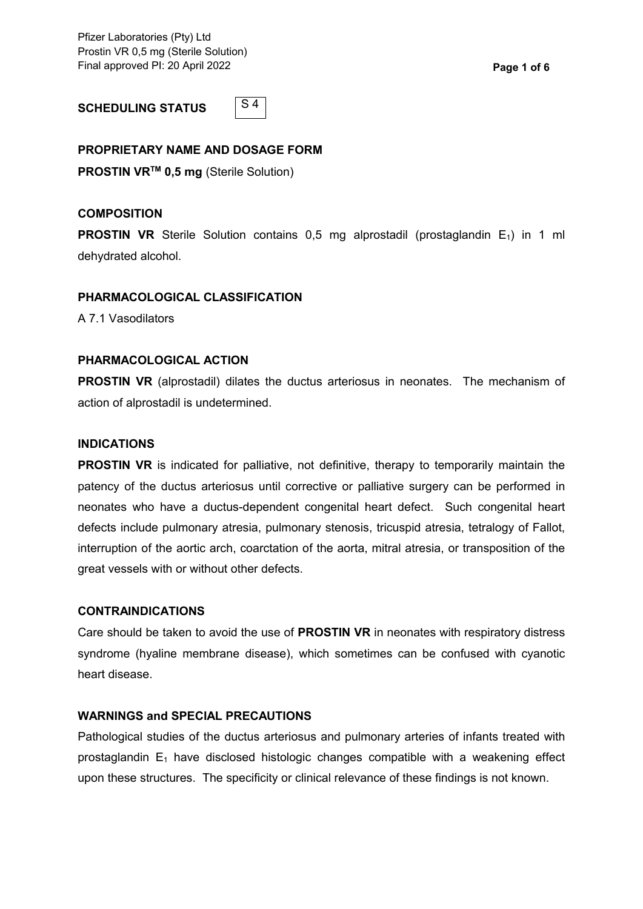Pfizer Laboratories (Pty) Ltd Prostin VR 0,5 mg (Sterile Solution) Final approved PI: 20 April 2022 **Page 1 of 6**

**SCHEDULING STATUS**



# **PROPRIETARY NAME AND DOSAGE FORM**

**PROSTIN VRTM 0,5 mg** (Sterile Solution)

### **COMPOSITION**

**PROSTIN VR** Sterile Solution contains 0,5 mg alprostadil (prostaglandin E<sub>1</sub>) in 1 ml dehydrated alcohol.

### **PHARMACOLOGICAL CLASSIFICATION**

A 7.1 Vasodilators

### **PHARMACOLOGICAL ACTION**

**PROSTIN VR** (alprostadil) dilates the ductus arteriosus in neonates. The mechanism of action of alprostadil is undetermined.

# **INDICATIONS**

**PROSTIN VR** is indicated for palliative, not definitive, therapy to temporarily maintain the patency of the ductus arteriosus until corrective or palliative surgery can be performed in neonates who have a ductus-dependent congenital heart defect. Such congenital heart defects include pulmonary atresia, pulmonary stenosis, tricuspid atresia, tetralogy of Fallot, interruption of the aortic arch, coarctation of the aorta, mitral atresia, or transposition of the great vessels with or without other defects.

#### **CONTRAINDICATIONS**

Care should be taken to avoid the use of **PROSTIN VR** in neonates with respiratory distress syndrome (hyaline membrane disease), which sometimes can be confused with cyanotic heart disease.

# **WARNINGS and SPECIAL PRECAUTIONS**

Pathological studies of the ductus arteriosus and pulmonary arteries of infants treated with prostaglandin  $E_1$  have disclosed histologic changes compatible with a weakening effect upon these structures. The specificity or clinical relevance of these findings is not known.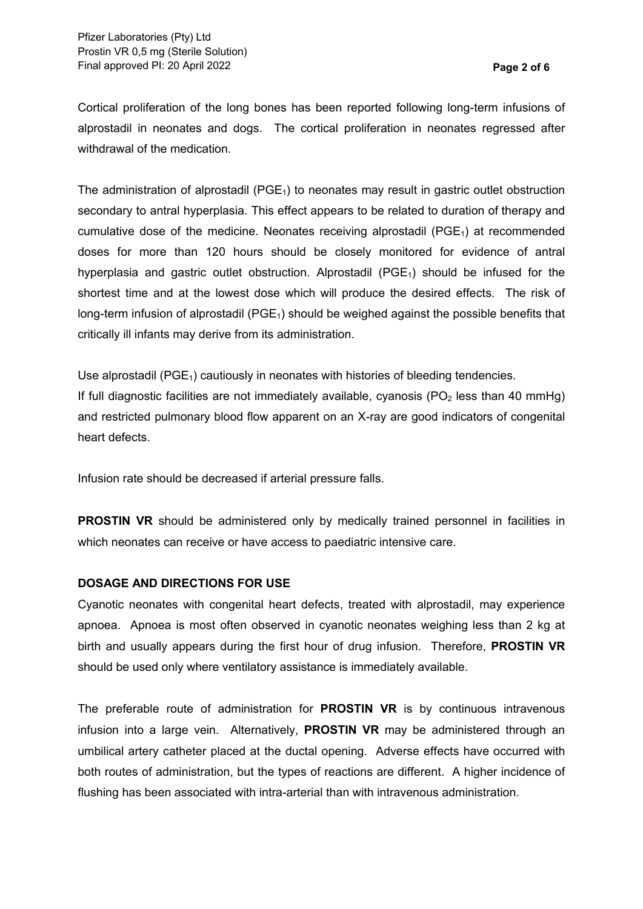Cortical proliferation of the long bones has been reported following long-term infusions of alprostadil in neonates and dogs. The cortical proliferation in neonates regressed after withdrawal of the medication.

The administration of alprostadil ( $PGE<sub>1</sub>$ ) to neonates may result in gastric outlet obstruction secondary to antral hyperplasia. This effect appears to be related to duration of therapy and cumulative dose of the medicine. Neonates receiving alprostadil  $(PGE<sub>1</sub>)$  at recommended doses for more than 120 hours should be closely monitored for evidence of antral hyperplasia and gastric outlet obstruction. Alprostadil  $(PGE_1)$  should be infused for the shortest time and at the lowest dose which will produce the desired effects. The risk of long-term infusion of alprostadil ( $PGE_1$ ) should be weighed against the possible benefits that critically ill infants may derive from its administration.

Use alprostadil (PGE<sub>1</sub>) cautiously in neonates with histories of bleeding tendencies. If full diagnostic facilities are not immediately available, cyanosis ( $PO<sub>2</sub>$  less than 40 mmHg) and restricted pulmonary blood flow apparent on an X-ray are good indicators of congenital heart defects.

Infusion rate should be decreased if arterial pressure falls.

**PROSTIN VR** should be administered only by medically trained personnel in facilities in which neonates can receive or have access to paediatric intensive care.

# **DOSAGE AND DIRECTIONS FOR USE**

Cyanotic neonates with congenital heart defects, treated with alprostadil, may experience apnoea. Apnoea is most often observed in cyanotic neonates weighing less than 2 kg at birth and usually appears during the first hour of drug infusion. Therefore, **PROSTIN VR** should be used only where ventilatory assistance is immediately available.

The preferable route of administration for **PROSTIN VR** is by continuous intravenous infusion into a large vein. Alternatively, **PROSTIN VR** may be administered through an umbilical artery catheter placed at the ductal opening. Adverse effects have occurred with both routes of administration, but the types of reactions are different. A higher incidence of flushing has been associated with intra-arterial than with intravenous administration.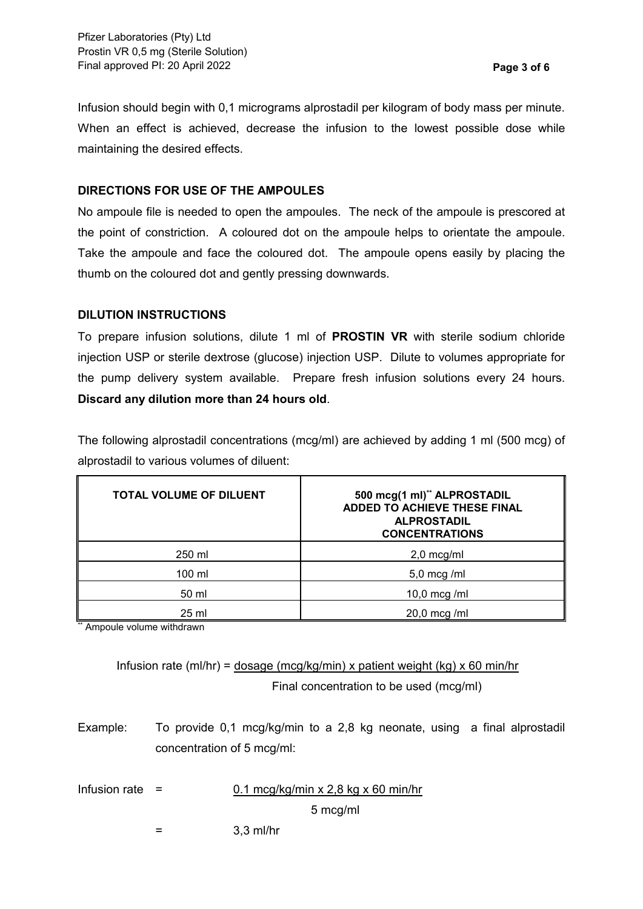Infusion should begin with 0,1 micrograms alprostadil per kilogram of body mass per minute. When an effect is achieved, decrease the infusion to the lowest possible dose while maintaining the desired effects.

# **DIRECTIONS FOR USE OF THE AMPOULES**

No ampoule file is needed to open the ampoules. The neck of the ampoule is prescored at the point of constriction. A coloured dot on the ampoule helps to orientate the ampoule. Take the ampoule and face the coloured dot. The ampoule opens easily by placing the thumb on the coloured dot and gently pressing downwards.

# **DILUTION INSTRUCTIONS**

To prepare infusion solutions, dilute 1 ml of **PROSTIN VR** with sterile sodium chloride injection USP or sterile dextrose (glucose) injection USP. Dilute to volumes appropriate for the pump delivery system available. Prepare fresh infusion solutions every 24 hours. **Discard any dilution more than 24 hours old**.

The following alprostadil concentrations (mcg/ml) are achieved by adding 1 ml (500 mcg) of alprostadil to various volumes of diluent:

| <b>TOTAL VOLUME OF DILUENT</b> | 500 mcg(1 ml)** ALPROSTADIL<br><b>ADDED TO ACHIEVE THESE FINAL</b><br><b>ALPROSTADIL</b><br><b>CONCENTRATIONS</b> |
|--------------------------------|-------------------------------------------------------------------------------------------------------------------|
| 250 ml                         | $2,0$ mcg/ml                                                                                                      |
| 100 ml                         | $5,0 \text{ mcg }$ /ml                                                                                            |
| 50 ml                          | 10,0 mcg /ml                                                                                                      |
| 25 ml                          | $20,0 \text{ mcg }$ /ml                                                                                           |

\*\* Ampoule volume withdrawn

Infusion rate (ml/hr) = dosage (mcg/kg/min) x patient weight (kg) x 60 min/hr Final concentration to be used (mcg/ml)

- Example: To provide 0,1 mcg/kg/min to a 2,8 kg neonate, using a final alprostadil concentration of 5 mcg/ml:
- 

Infusion rate =  $0.1 \text{~mcg/kg/min} \times 2.8 \text{~kg} \times 60 \text{~m/nr}$ 

5 mcg/ml

- 
- = 3,3 ml/hr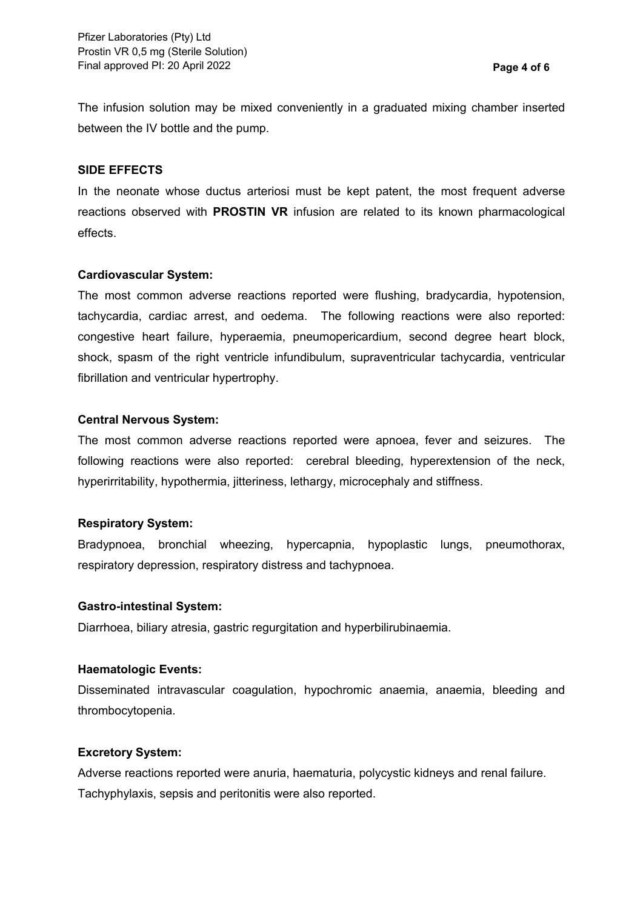The infusion solution may be mixed conveniently in a graduated mixing chamber inserted between the IV bottle and the pump.

### **SIDE EFFECTS**

In the neonate whose ductus arteriosi must be kept patent, the most frequent adverse reactions observed with **PROSTIN VR** infusion are related to its known pharmacological effects.

### **Cardiovascular System:**

The most common adverse reactions reported were flushing, bradycardia, hypotension, tachycardia, cardiac arrest, and oedema. The following reactions were also reported: congestive heart failure, hyperaemia, pneumopericardium, second degree heart block, shock, spasm of the right ventricle infundibulum, supraventricular tachycardia, ventricular fibrillation and ventricular hypertrophy.

# **Central Nervous System:**

The most common adverse reactions reported were apnoea, fever and seizures. The following reactions were also reported: cerebral bleeding, hyperextension of the neck, hyperirritability, hypothermia, jitteriness, lethargy, microcephaly and stiffness.

# **Respiratory System:**

Bradypnoea, bronchial wheezing, hypercapnia, hypoplastic lungs, pneumothorax, respiratory depression, respiratory distress and tachypnoea.

#### **Gastro-intestinal System:**

Diarrhoea, biliary atresia, gastric regurgitation and hyperbilirubinaemia.

# **Haematologic Events:**

Disseminated intravascular coagulation, hypochromic anaemia, anaemia, bleeding and thrombocytopenia.

# **Excretory System:**

Adverse reactions reported were anuria, haematuria, polycystic kidneys and renal failure. Tachyphylaxis, sepsis and peritonitis were also reported.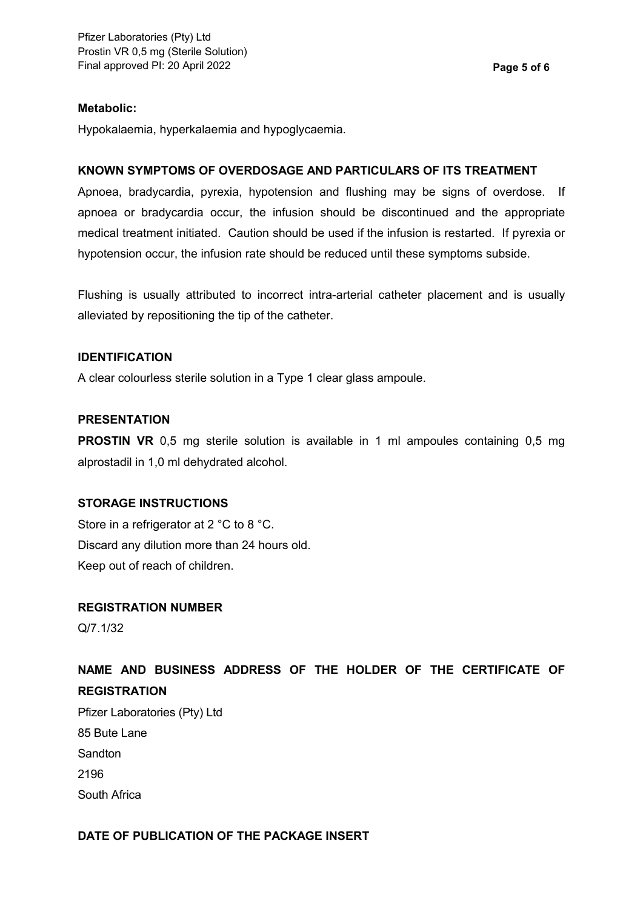# **Metabolic:**

Hypokalaemia, hyperkalaemia and hypoglycaemia.

# **KNOWN SYMPTOMS OF OVERDOSAGE AND PARTICULARS OF ITS TREATMENT**

Apnoea, bradycardia, pyrexia, hypotension and flushing may be signs of overdose. If apnoea or bradycardia occur, the infusion should be discontinued and the appropriate medical treatment initiated. Caution should be used if the infusion is restarted. If pyrexia or hypotension occur, the infusion rate should be reduced until these symptoms subside.

Flushing is usually attributed to incorrect intra-arterial catheter placement and is usually alleviated by repositioning the tip of the catheter.

# **IDENTIFICATION**

A clear colourless sterile solution in a Type 1 clear glass ampoule.

# **PRESENTATION**

**PROSTIN VR** 0,5 mg sterile solution is available in 1 ml ampoules containing 0,5 mg alprostadil in 1,0 ml dehydrated alcohol.

# **STORAGE INSTRUCTIONS**

Store in a refrigerator at 2 °C to 8 °C. Discard any dilution more than 24 hours old. Keep out of reach of children.

# **REGISTRATION NUMBER**

Q/7.1/32

# **NAME AND BUSINESS ADDRESS OF THE HOLDER OF THE CERTIFICATE OF REGISTRATION**

Pfizer Laboratories (Pty) Ltd 85 Bute Lane Sandton 2196 South Africa

# **DATE OF PUBLICATION OF THE PACKAGE INSERT**